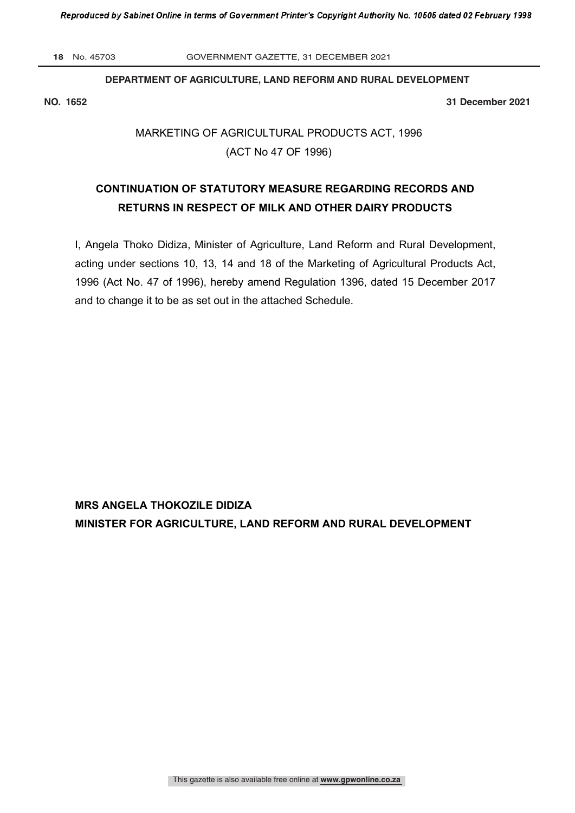**18** No. 45703 GOVERNMENT GAZETTE, 31 DECEMBER 2021

## **DEPARTMENT OF AGRICULTURE, LAND REFORM AND RURAL DEVELOPMENT**

**NO. 1652 31 December 2021**

# MARKETING OF AGRICULTURAL PRODUCTS ACT, 1996 (ACT No 47 OF 1996)

## **CONTINUATION OF STATUTORY MEASURE REGARDING RECORDS AND RETURNS IN RESPECT OF MILK AND OTHER DAIRY PRODUCTS**

I, Angela Thoko Didiza, Minister of Agriculture, Land Reform and Rural Development, acting under sections 10, 13, 14 and 18 of the Marketing of Agricultural Products Act, 1996 (Act No. 47 of 1996), hereby amend Regulation 1396, dated 15 December 2017 and to change it to be as set out in the attached Schedule.

**MRS ANGELA THOKOZILE DIDIZA MINISTER FOR AGRICULTURE, LAND REFORM AND RURAL DEVELOPMENT**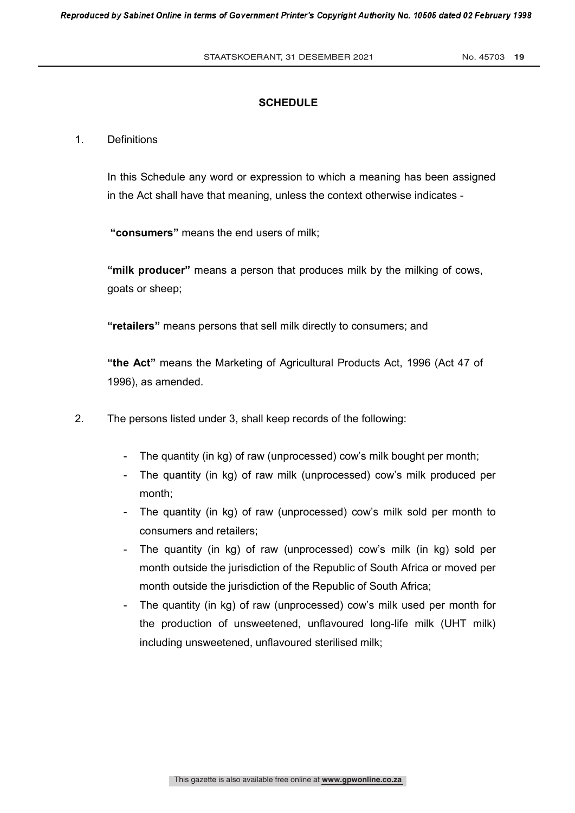## **SCHEDULE**

### 1. Definitions

In this Schedule any word or expression to which a meaning has been assigned in the Act shall have that meaning, unless the context otherwise indicates -

**"consumers"** means the end users of milk;

**"milk producer"** means a person that produces milk by the milking of cows, goats or sheep;

**"retailers"** means persons that sell milk directly to consumers; and

**"the Act"** means the Marketing of Agricultural Products Act, 1996 (Act 47 of 1996), as amended.

- 2. The persons listed under 3, shall keep records of the following:
	- The quantity (in kg) of raw (unprocessed) cow's milk bought per month;
	- The quantity (in kg) of raw milk (unprocessed) cow's milk produced per month;
	- The quantity (in kg) of raw (unprocessed) cow's milk sold per month to consumers and retailers;
	- The quantity (in kg) of raw (unprocessed) cow's milk (in kg) sold per month outside the jurisdiction of the Republic of South Africa or moved per month outside the jurisdiction of the Republic of South Africa;
	- The quantity (in kg) of raw (unprocessed) cow's milk used per month for the production of unsweetened, unflavoured long-life milk (UHT milk) including unsweetened, unflavoured sterilised milk;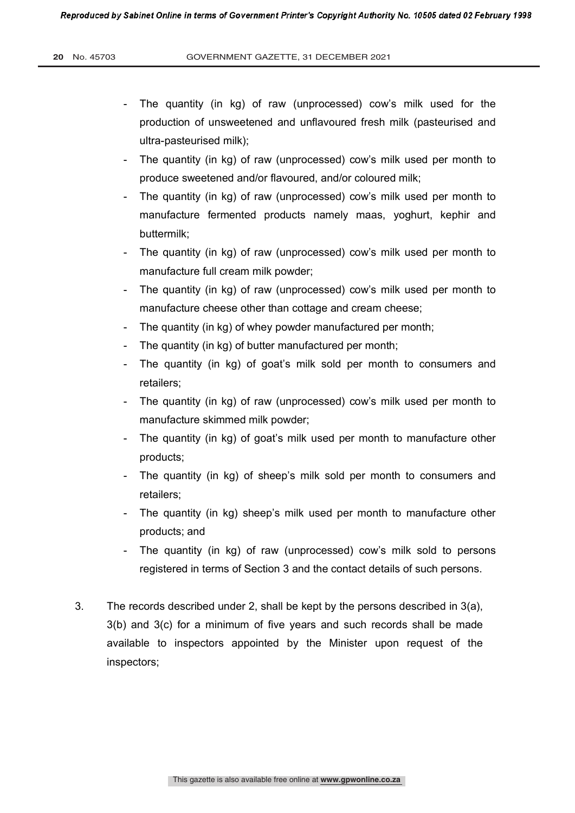- The quantity (in kg) of raw (unprocessed) cow's milk used for the production of unsweetened and unflavoured fresh milk (pasteurised and ultra-pasteurised milk);
- The quantity (in kg) of raw (unprocessed) cow's milk used per month to produce sweetened and/or flavoured, and/or coloured milk;
- The quantity (in kg) of raw (unprocessed) cow's milk used per month to manufacture fermented products namely maas, yoghurt, kephir and buttermilk;
- The quantity (in kg) of raw (unprocessed) cow's milk used per month to manufacture full cream milk powder;
- The quantity (in kg) of raw (unprocessed) cow's milk used per month to manufacture cheese other than cottage and cream cheese;
- The quantity (in kg) of whey powder manufactured per month;
- The quantity (in kg) of butter manufactured per month;
- The quantity (in kg) of goat's milk sold per month to consumers and retailers;
- The quantity (in kg) of raw (unprocessed) cow's milk used per month to manufacture skimmed milk powder;
- The quantity (in kg) of goat's milk used per month to manufacture other products;
- The quantity (in kg) of sheep's milk sold per month to consumers and retailers;
- The quantity (in kg) sheep's milk used per month to manufacture other products; and
- The quantity (in kg) of raw (unprocessed) cow's milk sold to persons registered in terms of Section 3 and the contact details of such persons.
- 3. The records described under 2, shall be kept by the persons described in 3(a), 3(b) and 3(c) for a minimum of five years and such records shall be made available to inspectors appointed by the Minister upon request of the inspectors;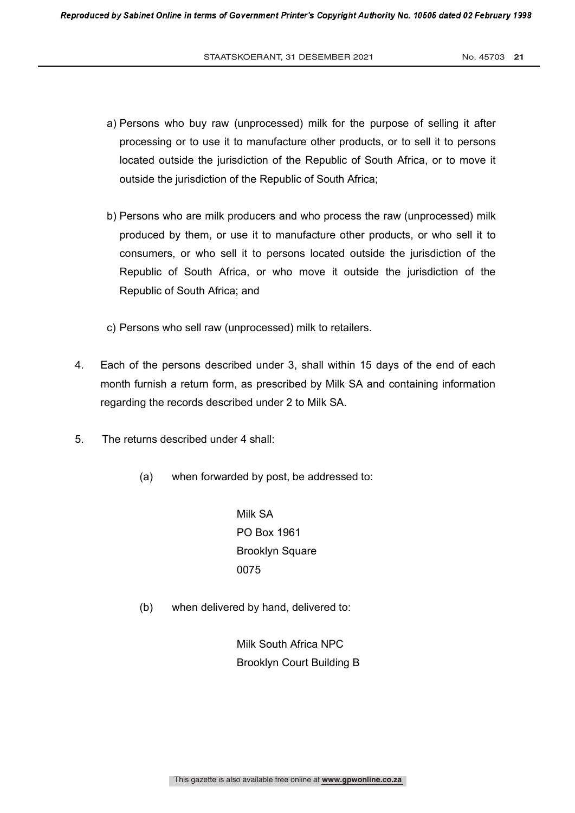- a) Persons who buy raw (unprocessed) milk for the purpose of selling it after processing or to use it to manufacture other products, or to sell it to persons located outside the jurisdiction of the Republic of South Africa, or to move it outside the jurisdiction of the Republic of South Africa;
- b) Persons who are milk producers and who process the raw (unprocessed) milk produced by them, or use it to manufacture other products, or who sell it to consumers, or who sell it to persons located outside the jurisdiction of the Republic of South Africa, or who move it outside the jurisdiction of the Republic of South Africa; and
- c) Persons who sell raw (unprocessed) milk to retailers.
- 4. Each of the persons described under 3, shall within 15 days of the end of each month furnish a return form, as prescribed by Milk SA and containing information regarding the records described under 2 to Milk SA.
- 5. The returns described under 4 shall:
	- (a) when forwarded by post, be addressed to:

 Milk SA PO Box 1961 Brooklyn Square 0075

(b) when delivered by hand, delivered to:

 Milk South Africa NPC Brooklyn Court Building B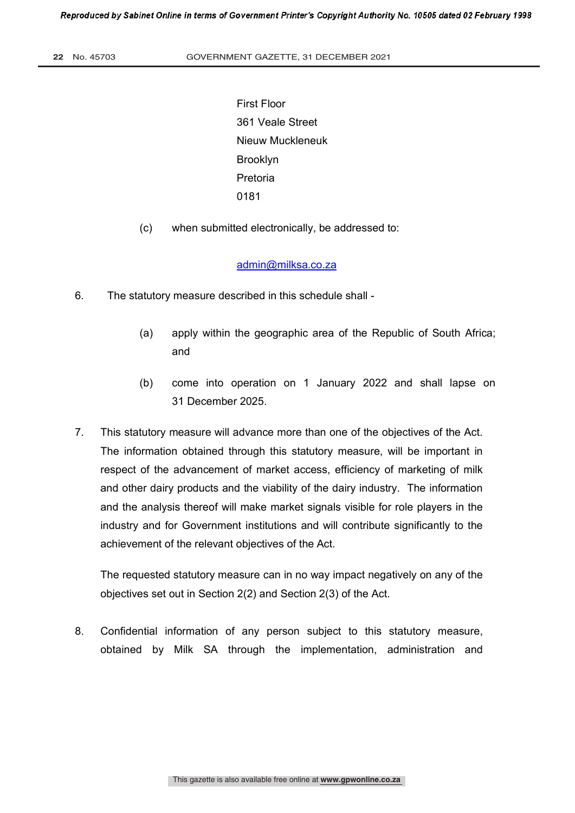First Floor 361 Veale Street Nieuw Muckleneuk Brooklyn Pretoria 0181

(c) when submitted electronically, be addressed to:

#### admin@milksa.co.za

- 6. The statutory measure described in this schedule shall
	- (a) apply within the geographic area of the Republic of South Africa; and
	- (b) come into operation on 1 January 2022 and shall lapse on 31 December 2025.
- 7. This statutory measure will advance more than one of the objectives of the Act. The information obtained through this statutory measure, will be important in respect of the advancement of market access, efficiency of marketing of milk and other dairy products and the viability of the dairy industry. The information and the analysis thereof will make market signals visible for role players in the industry and for Government institutions and will contribute significantly to the achievement of the relevant objectives of the Act.

The requested statutory measure can in no way impact negatively on any of the objectives set out in Section 2(2) and Section 2(3) of the Act.

8. Confidential information of any person subject to this statutory measure, obtained by Milk SA through the implementation, administration and